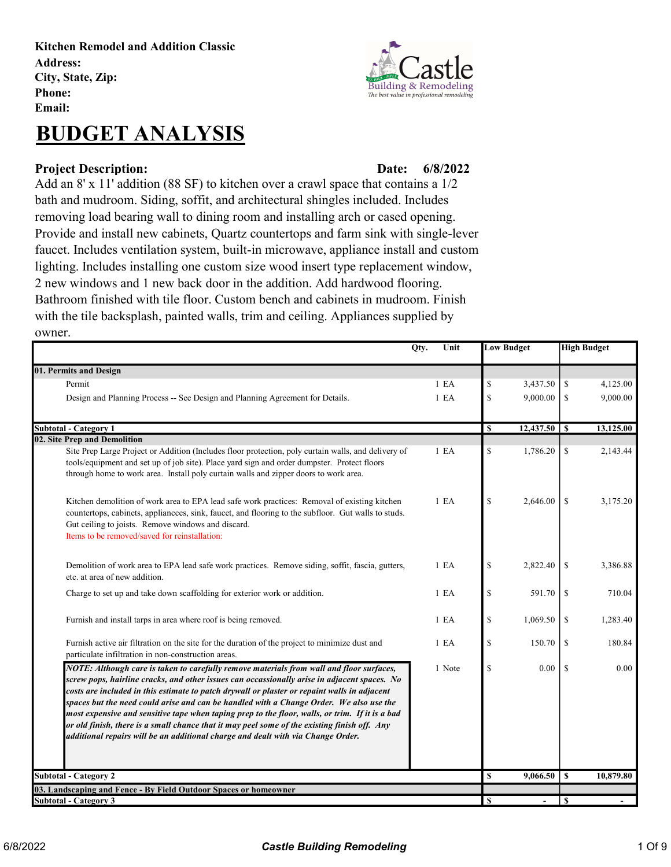Kitchen Remodel and Addition Classic Address: City, State, Zip: Phone: Email:

## BUDGET ANALYSIS

## Project Description: Date:

6/8/2022

Add an 8' x 11' addition (88 SF) to kitchen over a crawl space that contains a 1/2 bath and mudroom. Siding, soffit, and architectural shingles included. Includes removing load bearing wall to dining room and installing arch or cased opening. Provide and install new cabinets, Quartz countertops and farm sink with single-lever faucet. Includes ventilation system, built-in microwave, appliance install and custom lighting. Includes installing one custom size wood insert type replacement window, 2 new windows and 1 new back door in the addition. Add hardwood flooring. Bathroom finished with tile floor. Custom bench and cabinets in mudroom. Finish with the tile backsplash, painted walls, trim and ceiling. Appliances supplied by owner.

|                                                                                                                                                                                                                                                                                                                                                                                                                                                                                                                                                                                                                                                                            | Qty.<br>Unit     |                                                                       | <b>Low Budget</b> |               | <b>High Budget</b> |
|----------------------------------------------------------------------------------------------------------------------------------------------------------------------------------------------------------------------------------------------------------------------------------------------------------------------------------------------------------------------------------------------------------------------------------------------------------------------------------------------------------------------------------------------------------------------------------------------------------------------------------------------------------------------------|------------------|-----------------------------------------------------------------------|-------------------|---------------|--------------------|
| 01. Permits and Design                                                                                                                                                                                                                                                                                                                                                                                                                                                                                                                                                                                                                                                     |                  |                                                                       |                   |               |                    |
| Permit                                                                                                                                                                                                                                                                                                                                                                                                                                                                                                                                                                                                                                                                     | 1 E A            | \$                                                                    | 3,437.50          | \$            | 4,125.00           |
| Design and Planning Process -- See Design and Planning Agreement for Details.                                                                                                                                                                                                                                                                                                                                                                                                                                                                                                                                                                                              | 1 E A            | \$                                                                    | 9,000.00          | \$            | 9,000.00           |
| <b>Subtotal - Category 1</b>                                                                                                                                                                                                                                                                                                                                                                                                                                                                                                                                                                                                                                               |                  | \$                                                                    | $12,437.50$ \$    |               | 13,125.00          |
| 02. Site Prep and Demolition                                                                                                                                                                                                                                                                                                                                                                                                                                                                                                                                                                                                                                               |                  |                                                                       |                   |               |                    |
| Site Prep Large Project or Addition (Includes floor protection, poly curtain walls, and delivery of<br>tools/equipment and set up of job site). Place yard sign and order dumpster. Protect floors<br>through home to work area. Install poly curtain walls and zipper doors to work area.                                                                                                                                                                                                                                                                                                                                                                                 | 1 E A            | $\mathbb{S}% _{t}\left( t\right) \equiv\mathbb{S}_{t}\left( t\right)$ | 1,786.20          | \$            | 2,143.44           |
| Kitchen demolition of work area to EPA lead safe work practices: Removal of existing kitchen<br>countertops, cabinets, appliancees, sink, faucet, and flooring to the subfloor. Gut walls to studs.<br>Gut ceiling to joists. Remove windows and discard.<br>Items to be removed/saved for reinstallation:                                                                                                                                                                                                                                                                                                                                                                 | 1 E <sub>A</sub> | $\mathbb{S}$                                                          | 2,646.00          | \$            | 3,175.20           |
| Demolition of work area to EPA lead safe work practices. Remove siding, soffit, fascia, gutters,<br>etc. at area of new addition.                                                                                                                                                                                                                                                                                                                                                                                                                                                                                                                                          | 1 E A            | \$                                                                    | 2,822.40          | \$            | 3,386.88           |
| Charge to set up and take down scaffolding for exterior work or addition.                                                                                                                                                                                                                                                                                                                                                                                                                                                                                                                                                                                                  | 1 E <sub>A</sub> | $\mathbf S$                                                           | 591.70            | \$            | 710.04             |
| Furnish and install tarps in area where roof is being removed.                                                                                                                                                                                                                                                                                                                                                                                                                                                                                                                                                                                                             | 1 E A            | \$                                                                    | 1,069.50          | \$            | 1,283.40           |
| Furnish active air filtration on the site for the duration of the project to minimize dust and<br>particulate infiltration in non-construction areas.                                                                                                                                                                                                                                                                                                                                                                                                                                                                                                                      | 1 E <sub>A</sub> | $\mathbf S$                                                           | 150.70            | <sup>\$</sup> | 180.84             |
| NOTE: Although care is taken to carefully remove materials from wall and floor surfaces,<br>screw pops, hairline cracks, and other issues can occassionally arise in adjacent spaces. No<br>costs are included in this estimate to patch drywall or plaster or repaint walls in adjacent<br>spaces but the need could arise and can be handled with a Change Order. We also use the<br>most expensive and sensitive tape when taping prep to the floor, walls, or trim. If it is a bad<br>or old finish, there is a small chance that it may peel some of the existing finish off. Any<br>additional repairs will be an additional charge and dealt with via Change Order. | 1 Note           | \$                                                                    | 0.00              | \$            | 0.00               |
| <b>Subtotal - Category 2</b>                                                                                                                                                                                                                                                                                                                                                                                                                                                                                                                                                                                                                                               |                  | <b>S</b>                                                              | 9,066.50          | S             | 10,879.80          |
| 03. Landscaping and Fence - By Field Outdoor Spaces or homeowner                                                                                                                                                                                                                                                                                                                                                                                                                                                                                                                                                                                                           |                  |                                                                       |                   |               |                    |
| <b>Subtotal - Category 3</b>                                                                                                                                                                                                                                                                                                                                                                                                                                                                                                                                                                                                                                               |                  | S                                                                     | $\overline{a}$    | <sup>\$</sup> |                    |

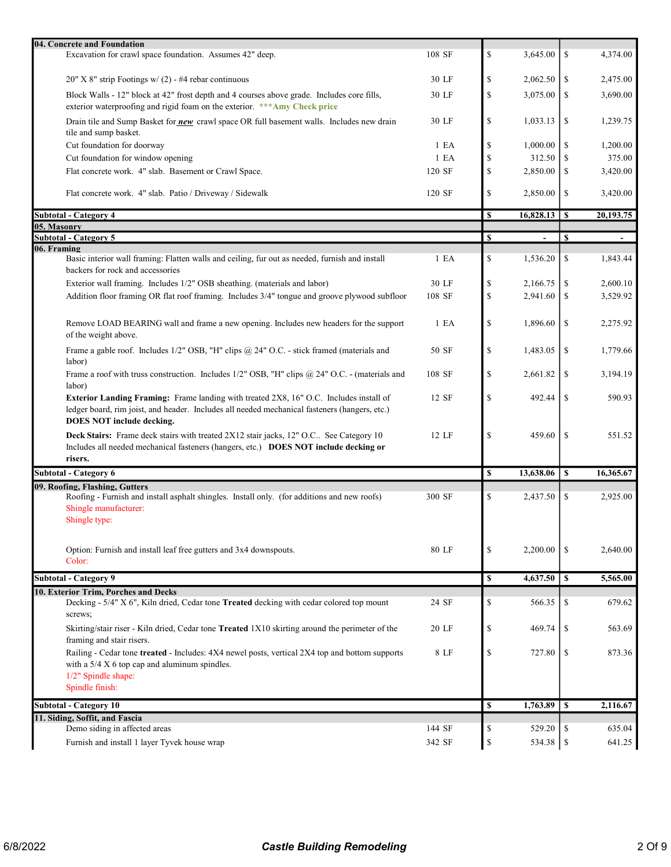| 04. Concrete and Foundation                                                                                                                                                                                          |                  |    |                |               |                          |
|----------------------------------------------------------------------------------------------------------------------------------------------------------------------------------------------------------------------|------------------|----|----------------|---------------|--------------------------|
| Excavation for crawl space foundation. Assumes 42" deep.                                                                                                                                                             | 108 SF           | \$ | 3,645.00       | \$            | 4,374.00                 |
| 20" X 8" strip Footings w/ (2) - #4 rebar continuous                                                                                                                                                                 | 30 LF            | \$ | 2,062.50       | <sup>\$</sup> | 2,475.00                 |
| Block Walls - 12" block at 42" frost depth and 4 courses above grade. Includes core fills,<br>exterior waterproofing and rigid foam on the exterior. *** Amy Check price                                             | 30 LF            | \$ | 3,075.00       | <sup>\$</sup> | 3,690.00                 |
| Drain tile and Sump Basket for new crawl space OR full basement walls. Includes new drain<br>tile and sump basket.                                                                                                   | 30 LF            | \$ | 1,033.13       | \$            | 1,239.75                 |
| Cut foundation for doorway                                                                                                                                                                                           | 1 E A            | S  | 1,000.00       | \$            | 1,200.00                 |
| Cut foundation for window opening                                                                                                                                                                                    | 1 E A            | \$ | 312.50         | S             | 375.00                   |
| Flat concrete work. 4" slab. Basement or Crawl Space.                                                                                                                                                                | 120 SF           | \$ | 2,850.00       | <sup>\$</sup> | 3,420.00                 |
| Flat concrete work. 4" slab. Patio / Driveway / Sidewalk                                                                                                                                                             | 120 SF           | \$ | 2,850.00       | <sup>\$</sup> | 3,420.00                 |
| <b>Subtotal - Category 4</b>                                                                                                                                                                                         |                  | S  |                |               | 20,193.75                |
| 05. Masonry                                                                                                                                                                                                          |                  |    |                |               |                          |
| <b>Subtotal - Category 5</b>                                                                                                                                                                                         |                  | S  | $\blacksquare$ | <sup>\$</sup> | $\overline{\phantom{a}}$ |
| 06. Framing<br>Basic interior wall framing: Flatten walls and ceiling, fur out as needed, furnish and install<br>backers for rock and accessories                                                                    | 1 E A            | \$ | 1,536.20       | <sup>\$</sup> | 1,843.44                 |
| Exterior wall framing. Includes 1/2" OSB sheathing. (materials and labor)                                                                                                                                            | 30 LF            | \$ | 2,166.75       | \$            | 2,600.10                 |
| Addition floor framing OR flat roof framing. Includes 3/4" tongue and groove plywood subfloor                                                                                                                        | 108 SF           | \$ | 2,941.60       | \$            | 3,529.92                 |
| Remove LOAD BEARING wall and frame a new opening. Includes new headers for the support<br>of the weight above.                                                                                                       | 1 E <sub>A</sub> | \$ | 1,896.60       | \$            | 2,275.92                 |
| Frame a gable roof. Includes 1/2" OSB, "H" clips @ 24" O.C. - stick framed (materials and<br>labor)                                                                                                                  | 50 SF            | \$ | 1,483.05       | \$            | 1,779.66                 |
| Frame a roof with truss construction. Includes 1/2" OSB, "H" clips @ 24" O.C. - (materials and<br>labor)                                                                                                             | 108 SF           | \$ | 2,661.82       | \$            | 3,194.19                 |
| Exterior Landing Framing: Frame landing with treated 2X8, 16" O.C. Includes install of<br>ledger board, rim joist, and header. Includes all needed mechanical fasteners (hangers, etc.)<br>DOES NOT include decking. | 12 SF            | \$ | 492.44         | \$            | 590.93                   |
| Deck Stairs: Frame deck stairs with treated 2X12 stair jacks, 12" O.C See Category 10<br>Includes all needed mechanical fasteners (hangers, etc.) DOES NOT include decking or<br>risers.                             | 12 LF            | \$ | 459.60         | <sup>\$</sup> | 551.52                   |
| <b>Subtotal - Category 6</b>                                                                                                                                                                                         |                  | \$ | 13,638.06      | \$            | 16,365.67                |
| 09. Roofing, Flashing, Gutters                                                                                                                                                                                       |                  |    |                |               |                          |
| Roofing - Furnish and install asphalt shingles. Install only. (for additions and new roofs)<br>Shingle manufacturer:<br>Shingle type:                                                                                | 300 SF           | \$ | 2,437.50       | -S            | 2,925.00                 |
| Option: Furnish and install leaf free gutters and 3x4 downspouts.<br>Color:                                                                                                                                          | 80 LF            | \$ | 2,200.00       | -S            | 2,640.00                 |
| <b>Subtotal - Category 9</b>                                                                                                                                                                                         |                  | \$ | 4,637.50       | S             | 5,565.00                 |
| 10. Exterior Trim, Porches and Decks                                                                                                                                                                                 |                  |    |                |               |                          |
| Decking - 5/4" X 6", Kiln dried, Cedar tone Treated decking with cedar colored top mount<br>screws;                                                                                                                  | 24 SF            | \$ | 566.35         | \$            | 679.62                   |
| Skirting/stair riser - Kiln dried, Cedar tone Treated 1X10 skirting around the perimeter of the<br>framing and stair risers.                                                                                         | 20 LF            | \$ | 469.74         | \$            | 563.69                   |
| Railing - Cedar tone treated - Includes: 4X4 newel posts, vertical 2X4 top and bottom supports<br>with a $5/4$ X 6 top cap and aluminum spindles.<br>1/2" Spindle shape:                                             | 8 LF             | \$ | 727.80         | \$            | 873.36                   |
| Spindle finish:                                                                                                                                                                                                      |                  |    |                |               |                          |
| <b>Subtotal - Category 10</b>                                                                                                                                                                                        |                  | S  | 1,763.89       | <sup>\$</sup> | 2,116.67                 |
| 11. Siding, Soffit, and Fascia                                                                                                                                                                                       |                  |    |                |               |                          |
| Demo siding in affected areas                                                                                                                                                                                        | 144 SF           | \$ | $529.20$   \$  |               | 635.04                   |
| Furnish and install 1 layer Tyvek house wrap                                                                                                                                                                         | 342 SF           | \$ | 534.38   \$    |               | 641.25                   |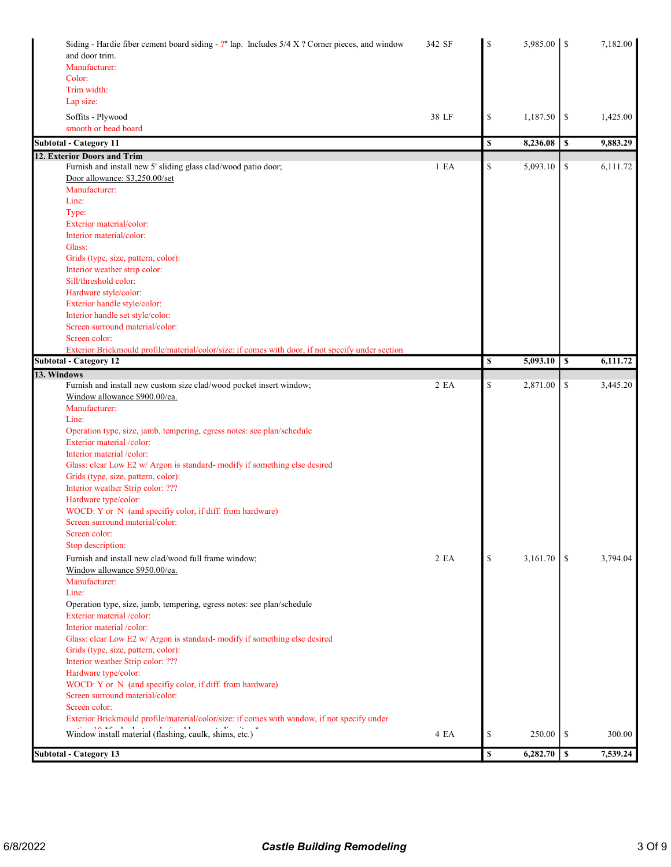| Siding - Hardie fiber cement board siding - ?" lap. Includes 5/4 X ? Corner pieces, and window<br>and door trim.<br>Manufacturer:  | 342 SF | \$               |          |               | 7,182.00 |
|------------------------------------------------------------------------------------------------------------------------------------|--------|------------------|----------|---------------|----------|
| Color:                                                                                                                             |        |                  |          |               |          |
| Trim width:                                                                                                                        |        |                  |          |               |          |
| Lap size:                                                                                                                          |        |                  |          |               |          |
| Soffits - Plywood                                                                                                                  | 38 LF  | \$               | 1,187.50 | \$            | 1,425.00 |
| smooth or bead board                                                                                                               |        |                  |          |               |          |
| <b>Subtotal - Category 11</b>                                                                                                      |        | \$               | 8,236.08 | $\mathbf S$   | 9,883.29 |
| 12. Exterior Doors and Trim                                                                                                        |        |                  |          |               |          |
| Furnish and install new 5' sliding glass clad/wood patio door;                                                                     | 1 E A  | \$               | 5,093.10 | \$            | 6,111.72 |
| Door allowance: \$3,250.00/set<br>Manufacturer:                                                                                    |        |                  |          |               |          |
| Line:                                                                                                                              |        |                  |          |               |          |
| Type:                                                                                                                              |        |                  |          |               |          |
| Exterior material/color:                                                                                                           |        |                  |          |               |          |
| Interior material/color:                                                                                                           |        |                  |          |               |          |
| Glass:                                                                                                                             |        |                  |          |               |          |
| Grids (type, size, pattern, color):                                                                                                |        |                  |          |               |          |
| Interior weather strip color:                                                                                                      |        |                  |          |               |          |
| Sill/threshold color:                                                                                                              |        |                  |          |               |          |
| Hardware style/color:                                                                                                              |        |                  |          |               |          |
| Exterior handle style/color:                                                                                                       |        |                  |          |               |          |
| Interior handle set style/color:                                                                                                   |        |                  |          |               |          |
| Screen surround material/color:                                                                                                    |        |                  |          |               |          |
| Screen color:                                                                                                                      |        |                  |          |               |          |
| Exterior Brickmould profile/material/color/size: if comes with door, if not specify under section<br><b>Subtotal - Category 12</b> |        | \$               | 5,093.10 | \$            | 6,111.72 |
|                                                                                                                                    |        |                  |          |               |          |
| 13. Windows<br>Furnish and install new custom size clad/wood pocket insert window;                                                 | 2 EA   | \$               | 2,871.00 | \$            | 3,445.20 |
| Window allowance \$900.00/ea.                                                                                                      |        |                  |          |               |          |
| Manufacturer:                                                                                                                      |        |                  |          |               |          |
| Line:                                                                                                                              |        |                  |          |               |          |
| Operation type, size, jamb, tempering, egress notes: see plan/schedule                                                             |        |                  |          |               |          |
| Exterior material /color:                                                                                                          |        |                  |          |               |          |
| Interior material /color:                                                                                                          |        |                  |          |               |          |
| Glass: clear Low E2 w/ Argon is standard- modify if something else desired                                                         |        |                  |          |               |          |
| Grids (type, size, pattern, color):                                                                                                |        |                  |          |               |          |
| Interior weather Strip color: ???                                                                                                  |        |                  |          |               |          |
| Hardware type/color:                                                                                                               |        |                  |          |               |          |
| WOCD: Y or N (and specifiy color, if diff. from hardware)                                                                          |        |                  |          |               |          |
| Screen surround material/color:                                                                                                    |        |                  |          |               |          |
| Screen color:<br>Stop description:                                                                                                 |        |                  |          |               |          |
|                                                                                                                                    |        |                  |          |               |          |
| Furnish and install new clad/wood full frame window;<br>Window allowance \$950.00/ea.                                              | 2 EA   | $\mathcal{S}$    | 3,161.70 | <sup>\$</sup> | 3,794.04 |
| Manufacturer:                                                                                                                      |        |                  |          |               |          |
| Line:                                                                                                                              |        |                  |          |               |          |
| Operation type, size, jamb, tempering, egress notes: see plan/schedule                                                             |        |                  |          |               |          |
| Exterior material /color:                                                                                                          |        |                  |          |               |          |
| Interior material /color:                                                                                                          |        |                  |          |               |          |
| Glass: clear Low E2 w/ Argon is standard- modify if something else desired                                                         |        |                  |          |               |          |
| Grids (type, size, pattern, color):                                                                                                |        |                  |          |               |          |
| Interior weather Strip color: ???                                                                                                  |        |                  |          |               |          |
| Hardware type/color:                                                                                                               |        |                  |          |               |          |
| WOCD: Y or N (and specifiy color, if diff. from hardware)                                                                          |        |                  |          |               |          |
| Screen surround material/color:                                                                                                    |        |                  |          |               |          |
| Screen color:                                                                                                                      |        |                  |          |               |          |
| Exterior Brickmould profile/material/color/size: if comes with window, if not specify under                                        |        |                  |          |               |          |
| Window install material (flashing, caulk, shims, etc.)                                                                             | 4 EA   | \$               | 250.00   | S             | 300.00   |
|                                                                                                                                    |        |                  |          |               |          |
| <b>Subtotal - Category 13</b>                                                                                                      |        | $\boldsymbol{s}$ | 6,282.70 | $\mathbf{s}$  | 7,539.24 |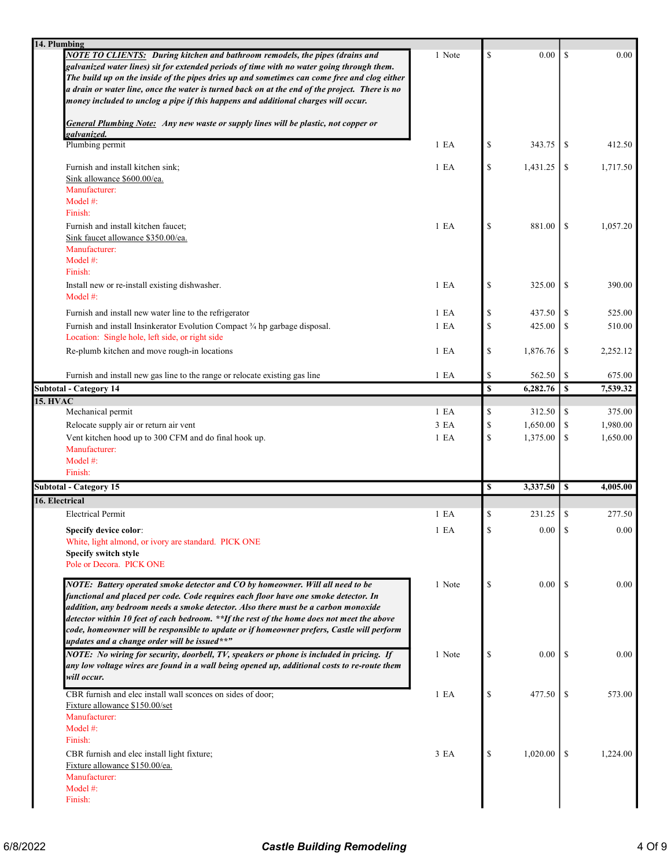| 14. Plumbing                                                                                                                                                                                                                                                                                                                                                                                                                                                                                             |                  |              |          |               |          |
|----------------------------------------------------------------------------------------------------------------------------------------------------------------------------------------------------------------------------------------------------------------------------------------------------------------------------------------------------------------------------------------------------------------------------------------------------------------------------------------------------------|------------------|--------------|----------|---------------|----------|
| NOTE TO CLIENTS: During kitchen and bathroom remodels, the pipes (drains and<br>galvanized water lines) sit for extended periods of time with no water going through them.<br>The build up on the inside of the pipes dries up and sometimes can come free and clog either<br>a drain or water line, once the water is turned back on at the end of the project. There is no<br>money included to unclog a pipe if this happens and additional charges will occur.                                       | 1 Note           | \$           | 0.00     | <sup>\$</sup> | 0.00     |
| <b>General Plumbing Note:</b> Any new waste or supply lines will be plastic, not copper or                                                                                                                                                                                                                                                                                                                                                                                                               |                  |              |          |               |          |
| galvanized.<br>Plumbing permit                                                                                                                                                                                                                                                                                                                                                                                                                                                                           | 1 E A            | \$           | 343.75   | S             | 412.50   |
| Furnish and install kitchen sink;                                                                                                                                                                                                                                                                                                                                                                                                                                                                        | 1 E A            | $\mathbb{S}$ | 1,431.25 | \$            | 1,717.50 |
| Sink allowance \$600.00/ea.<br>Manufacturer:<br>Model $#$ :<br>Finish:                                                                                                                                                                                                                                                                                                                                                                                                                                   |                  |              |          |               |          |
| Furnish and install kitchen faucet;<br>Sink faucet allowance \$350.00/ea.<br>Manufacturer:                                                                                                                                                                                                                                                                                                                                                                                                               | 1 E A            | \$           | 881.00   | \$            | 1,057.20 |
| Model $#$ :<br>Finish:                                                                                                                                                                                                                                                                                                                                                                                                                                                                                   |                  |              |          |               |          |
| Install new or re-install existing dishwasher.<br>Model #:                                                                                                                                                                                                                                                                                                                                                                                                                                               | 1 E A            | \$           | 325.00   | -S            | 390.00   |
| Furnish and install new water line to the refrigerator                                                                                                                                                                                                                                                                                                                                                                                                                                                   | 1 EA             | \$           | 437.50   | \$            | 525.00   |
| Furnish and install Insinkerator Evolution Compact 3/4 hp garbage disposal.<br>Location: Single hole, left side, or right side                                                                                                                                                                                                                                                                                                                                                                           | 1 E A            | $\mathbb{S}$ | 425.00   | \$            | 510.00   |
| Re-plumb kitchen and move rough-in locations                                                                                                                                                                                                                                                                                                                                                                                                                                                             | 1 E <sub>A</sub> | \$           | 1,876.76 | \$            | 2,252.12 |
| Furnish and install new gas line to the range or relocate existing gas line                                                                                                                                                                                                                                                                                                                                                                                                                              | 1 E A            | \$           | 562.50   | \$            | 675.00   |
| <b>Subtotal - Category 14</b>                                                                                                                                                                                                                                                                                                                                                                                                                                                                            |                  | \$           | 6,282.76 | $\mathbf{s}$  | 7,539.32 |
| <b>15. HVAC</b><br>Mechanical permit                                                                                                                                                                                                                                                                                                                                                                                                                                                                     | 1 E A            | \$           | 312.50   | \$            | 375.00   |
| Relocate supply air or return air vent                                                                                                                                                                                                                                                                                                                                                                                                                                                                   | 3 EA             | \$           | 1,650.00 | \$            | 1,980.00 |
| Vent kitchen hood up to 300 CFM and do final hook up.<br>Manufacturer:                                                                                                                                                                                                                                                                                                                                                                                                                                   | 1 E A            | $\mathbb{S}$ | 1,375.00 | \$            | 1,650.00 |
| Model #:<br>Finish:                                                                                                                                                                                                                                                                                                                                                                                                                                                                                      |                  |              |          |               |          |
| Subtotal - Category 15                                                                                                                                                                                                                                                                                                                                                                                                                                                                                   |                  | \$           | 3,337.50 | <sup>\$</sup> | 4,005.00 |
| 16. Electrical                                                                                                                                                                                                                                                                                                                                                                                                                                                                                           |                  |              |          |               |          |
| <b>Electrical Permit</b>                                                                                                                                                                                                                                                                                                                                                                                                                                                                                 | 1 E A            | \$           | 231.25   | \$            | 277.50   |
| Specify device color:<br>White, light almond, or ivory are standard. PICK ONE<br>Specify switch style<br>Pole or Decora. PICK ONE                                                                                                                                                                                                                                                                                                                                                                        | 1 E <sub>A</sub> | $\mathbf S$  | 0.00     | \$            | 0.00     |
| NOTE: Battery operated smoke detector and CO by homeowner. Will all need to be<br>functional and placed per code. Code requires each floor have one smoke detector. In<br>addition, any bedroom needs a smoke detector. Also there must be a carbon monoxide<br>detector within 10 feet of each bedroom. **If the rest of the home does not meet the above<br>code, homeowner will be responsible to update or if homeowner prefers, Castle will perform<br>updates and a change order will be issued**" | 1 Note           | \$           | 0.00     | -S            | 0.00     |
| NOTE: No wiring for security, doorbell, TV, speakers or phone is included in pricing. If<br>any low voltage wires are found in a wall being opened up, additional costs to re-route them<br>will occur.                                                                                                                                                                                                                                                                                                  | 1 Note           | \$           | 0.00     | -S            | 0.00     |
| CBR furnish and elec install wall sconces on sides of door;<br>Fixture allowance \$150.00/set<br>Manufacturer:<br>Model #:                                                                                                                                                                                                                                                                                                                                                                               | 1 E A            | \$           | 477.50   | -S            | 573.00   |
| Finish:<br>CBR furnish and elec install light fixture;<br>Fixture allowance \$150.00/ea.<br>Manufacturer:<br>Model #:<br>Finish:                                                                                                                                                                                                                                                                                                                                                                         | 3 EA             | S            | 1,020.00 | \$.           | 1,224.00 |
|                                                                                                                                                                                                                                                                                                                                                                                                                                                                                                          |                  |              |          |               |          |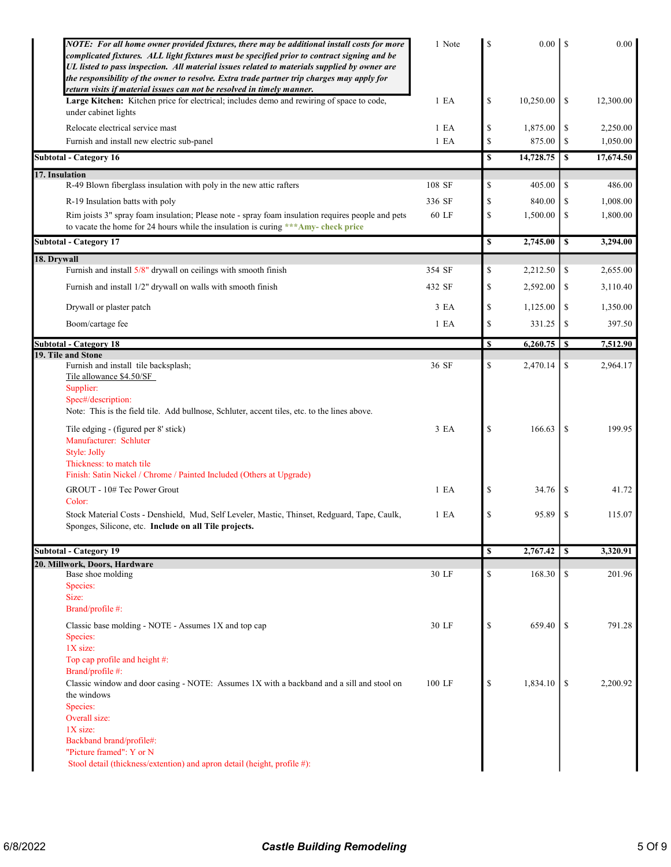| NOTE: For all home owner provided fixtures, there may be additional install costs for more<br>complicated fixtures. ALL light fixtures must be specified prior to contract signing and be<br>UL listed to pass inspection. All material issues related to materials supplied by owner are<br>the responsibility of the owner to resolve. Extra trade partner trip charges may apply for<br>return visits if material issues can not be resolved in timely manner. | 1 Note           | \$            |           |               | $0.00\,$  |
|-------------------------------------------------------------------------------------------------------------------------------------------------------------------------------------------------------------------------------------------------------------------------------------------------------------------------------------------------------------------------------------------------------------------------------------------------------------------|------------------|---------------|-----------|---------------|-----------|
| Large Kitchen: Kitchen price for electrical; includes demo and rewiring of space to code,<br>under cabinet lights                                                                                                                                                                                                                                                                                                                                                 | 1 E A            | \$            | 10,250.00 | \$            | 12,300.00 |
| Relocate electrical service mast                                                                                                                                                                                                                                                                                                                                                                                                                                  | 1 E <sub>A</sub> | \$            | 1,875.00  | \$            | 2,250.00  |
| Furnish and install new electric sub-panel                                                                                                                                                                                                                                                                                                                                                                                                                        | 1 E A            | $\mathbb{S}$  | 875.00    | \$            | 1,050.00  |
| <b>Subtotal - Category 16</b>                                                                                                                                                                                                                                                                                                                                                                                                                                     |                  | \$            | 14,728.75 | \$            | 17,674.50 |
| 17. Insulation                                                                                                                                                                                                                                                                                                                                                                                                                                                    |                  |               |           |               |           |
| R-49 Blown fiberglass insulation with poly in the new attic rafters                                                                                                                                                                                                                                                                                                                                                                                               | 108 SF           | \$            | 405.00    | \$            | 486.00    |
| R-19 Insulation batts with poly                                                                                                                                                                                                                                                                                                                                                                                                                                   | 336 SF           | \$            | 840.00    | \$            | 1,008.00  |
| Rim joists 3" spray foam insulation; Please note - spray foam insulation requires people and pets<br>to vacate the home for 24 hours while the insulation is curing *** Amy- check price                                                                                                                                                                                                                                                                          | 60 LF            | \$            | 1,500.00  | \$            | 1,800.00  |
| <b>Subtotal - Category 17</b>                                                                                                                                                                                                                                                                                                                                                                                                                                     |                  | \$            | 2,745.00  | \$            | 3,294.00  |
| 18. Drywall                                                                                                                                                                                                                                                                                                                                                                                                                                                       |                  |               |           |               |           |
| Furnish and install 5/8" drywall on ceilings with smooth finish                                                                                                                                                                                                                                                                                                                                                                                                   | 354 SF           | \$            | 2,212.50  | \$            | 2,655.00  |
| Furnish and install 1/2" drywall on walls with smooth finish                                                                                                                                                                                                                                                                                                                                                                                                      | 432 SF           | \$            | 2,592.00  | \$            | 3,110.40  |
|                                                                                                                                                                                                                                                                                                                                                                                                                                                                   |                  | $\mathbb{S}$  |           |               |           |
| Drywall or plaster patch                                                                                                                                                                                                                                                                                                                                                                                                                                          | 3 EA             |               | 1,125.00  | \$            | 1,350.00  |
| Boom/cartage fee                                                                                                                                                                                                                                                                                                                                                                                                                                                  | 1 E A            | $\mathbb{S}$  | 331.25    | \$            | 397.50    |
| <b>Subtotal - Category 18</b>                                                                                                                                                                                                                                                                                                                                                                                                                                     |                  | \$            |           |               | 7,512.90  |
| 19. Tile and Stone<br>Furnish and install tile backsplash;<br>Tile allowance \$4.50/SF                                                                                                                                                                                                                                                                                                                                                                            | 36 SF            | \$            | 2,470.14  | \$            | 2,964.17  |
| Supplier:<br>Spec#/description:<br>Note: This is the field tile. Add bullnose, Schluter, accent tiles, etc. to the lines above.                                                                                                                                                                                                                                                                                                                                   |                  |               |           |               |           |
| Tile edging - (figured per 8' stick)<br>Manufacturer: Schluter<br>Style: Jolly<br>Thickness: to match tile                                                                                                                                                                                                                                                                                                                                                        | 3 EA             | \$            | 166.63    | <sup>\$</sup> | 199.95    |
| Finish: Satin Nickel / Chrome / Painted Included (Others at Upgrade)                                                                                                                                                                                                                                                                                                                                                                                              |                  |               |           |               |           |
| GROUT - 10# Tec Power Grout                                                                                                                                                                                                                                                                                                                                                                                                                                       | 1 E A            | \$            | 34.76     | \$            | 41.72     |
| Color:<br>Stock Material Costs - Denshield, Mud, Self Leveler, Mastic, Thinset, Redguard, Tape, Caulk,<br>Sponges, Silicone, etc. Include on all Tile projects.                                                                                                                                                                                                                                                                                                   | 1 E <sub>A</sub> | \$            | 95.89     | \$            | 115.07    |
|                                                                                                                                                                                                                                                                                                                                                                                                                                                                   |                  |               |           |               |           |
| <b>Subtotal - Category 19</b>                                                                                                                                                                                                                                                                                                                                                                                                                                     |                  | <b>S</b>      | 2,767.42  | S             | 3,320.91  |
| 20. Millwork, Doors, Hardware<br>Base shoe molding                                                                                                                                                                                                                                                                                                                                                                                                                | 30 LF            | \$            | 168.30    | \$            | 201.96    |
| Species:<br>Size:                                                                                                                                                                                                                                                                                                                                                                                                                                                 |                  |               |           |               |           |
| Brand/profile #:                                                                                                                                                                                                                                                                                                                                                                                                                                                  |                  |               |           |               |           |
| Classic base molding - NOTE - Assumes 1X and top cap<br>Species:<br>$1X$ size:                                                                                                                                                                                                                                                                                                                                                                                    | 30 LF            | $\mathcal{S}$ | 659.40    | <sup>\$</sup> | 791.28    |
| Top cap profile and height #:<br>Brand/profile #:                                                                                                                                                                                                                                                                                                                                                                                                                 |                  |               |           |               |           |
| Classic window and door casing - NOTE: Assumes 1X with a backband and a sill and stool on<br>the windows                                                                                                                                                                                                                                                                                                                                                          | 100 LF           | \$            | 1,834.10  | \$            | 2,200.92  |
| Species:<br>Overall size:<br>$1X$ size:                                                                                                                                                                                                                                                                                                                                                                                                                           |                  |               |           |               |           |
| Backband brand/profile#:                                                                                                                                                                                                                                                                                                                                                                                                                                          |                  |               |           |               |           |
| "Picture framed": Y or N<br>Stool detail (thickness/extention) and apron detail (height, profile #):                                                                                                                                                                                                                                                                                                                                                              |                  |               |           |               |           |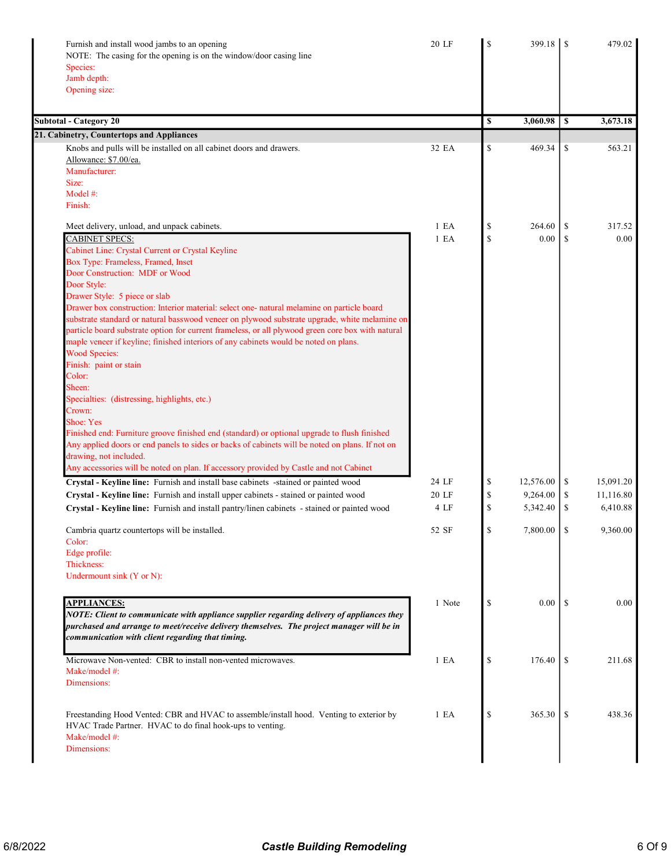| Furnish and install wood jambs to an opening<br>NOTE: The casing for the opening is on the window/door casing line        | 20 LF            | 399.18          |               | 479.02    |
|---------------------------------------------------------------------------------------------------------------------------|------------------|-----------------|---------------|-----------|
|                                                                                                                           |                  |                 |               |           |
| Species:<br>Jamb depth:                                                                                                   |                  |                 |               |           |
| Opening size:                                                                                                             |                  |                 |               |           |
|                                                                                                                           |                  |                 |               |           |
| <b>Subtotal - Category 20</b>                                                                                             |                  | \$<br>3,060.98  | S             | 3,673.18  |
| 21. Cabinetry, Countertops and Appliances                                                                                 |                  |                 |               |           |
| Knobs and pulls will be installed on all cabinet doors and drawers.                                                       | 32 EA            | \$<br>469.34    | \$            | 563.21    |
| Allowance: \$7.00/ea.                                                                                                     |                  |                 |               |           |
| Manufacturer:                                                                                                             |                  |                 |               |           |
| Size:                                                                                                                     |                  |                 |               |           |
| Model $#$ :                                                                                                               |                  |                 |               |           |
| Finish:                                                                                                                   |                  |                 |               |           |
| Meet delivery, unload, and unpack cabinets.                                                                               | 1 E A            | \$<br>264.60    | \$            | 317.52    |
| <b>CABINET SPECS:</b>                                                                                                     | 1 E A            | \$<br>0.00      | <sup>\$</sup> | 0.00      |
| Cabinet Line: Crystal Current or Crystal Keyline                                                                          |                  |                 |               |           |
| Box Type: Frameless, Framed, Inset                                                                                        |                  |                 |               |           |
| Door Construction: MDF or Wood                                                                                            |                  |                 |               |           |
| Door Style:                                                                                                               |                  |                 |               |           |
| Drawer Style: 5 piece or slab                                                                                             |                  |                 |               |           |
| Drawer box construction: Interior material: select one- natural melamine on particle board                                |                  |                 |               |           |
| substrate standard or natural basswood veneer on plywood substrate upgrade, white melamine on                             |                  |                 |               |           |
| particle board substrate option for current frameless, or all plywood green core box with natural                         |                  |                 |               |           |
| maple veneer if keyline; finished interiors of any cabinets would be noted on plans.                                      |                  |                 |               |           |
| <b>Wood Species:</b>                                                                                                      |                  |                 |               |           |
| Finish: paint or stain                                                                                                    |                  |                 |               |           |
| Color:                                                                                                                    |                  |                 |               |           |
| Sheen:                                                                                                                    |                  |                 |               |           |
| Specialties: (distressing, highlights, etc.)                                                                              |                  |                 |               |           |
| Crown:                                                                                                                    |                  |                 |               |           |
| Shoe: Yes                                                                                                                 |                  |                 |               |           |
| Finished end: Furniture groove finished end (standard) or optional upgrade to flush finished                              |                  |                 |               |           |
| Any applied doors or end panels to sides or backs of cabinets will be noted on plans. If not on<br>drawing, not included. |                  |                 |               |           |
| Any accessories will be noted on plan. If accessory provided by Castle and not Cabinet                                    |                  |                 |               |           |
| Crystal - Keyline line: Furnish and install base cabinets -stained or painted wood                                        | 24 LF            | \$<br>12,576.00 | \$            | 15,091.20 |
| Crystal - Keyline line: Furnish and install upper cabinets - stained or painted wood                                      | 20 LF            | \$<br>9,264.00  | -S            | 11,116.80 |
| Crystal - Keyline line: Furnish and install pantry/linen cabinets - stained or painted wood                               | 4 LF             | \$<br>5,342.40  | \$            | 6,410.88  |
|                                                                                                                           |                  |                 |               |           |
| Cambria quartz countertops will be installed.                                                                             | 52 SF            | \$              |               | 9,360.00  |
| Color:                                                                                                                    |                  |                 |               |           |
| Edge profile:<br>Thickness:                                                                                               |                  |                 |               |           |
|                                                                                                                           |                  |                 |               |           |
| Undermount sink (Y or N):                                                                                                 |                  |                 |               |           |
| <b>APPLIANCES:</b>                                                                                                        | 1 Note           | \$<br>$0.00\,$  | -S            | 0.00      |
| NOTE: Client to communicate with appliance supplier regarding delivery of appliances they                                 |                  |                 |               |           |
| purchased and arrange to meet/receive delivery themselves. The project manager will be in                                 |                  |                 |               |           |
| communication with client regarding that timing.                                                                          |                  |                 |               |           |
| Microwave Non-vented: CBR to install non-vented microwaves.                                                               | 1 E <sub>A</sub> | \$<br>176.40    | \$            | 211.68    |
| Make/model #:                                                                                                             |                  |                 |               |           |
| Dimensions:                                                                                                               |                  |                 |               |           |
|                                                                                                                           |                  |                 |               |           |
| Freestanding Hood Vented: CBR and HVAC to assemble/install hood. Venting to exterior by                                   | 1 E <sub>A</sub> | \$<br>365.30    | \$            | 438.36    |
| HVAC Trade Partner. HVAC to do final hook-ups to venting.                                                                 |                  |                 |               |           |
| Make/model #:                                                                                                             |                  |                 |               |           |
| Dimensions:                                                                                                               |                  |                 |               |           |
|                                                                                                                           |                  |                 |               |           |
|                                                                                                                           |                  |                 |               |           |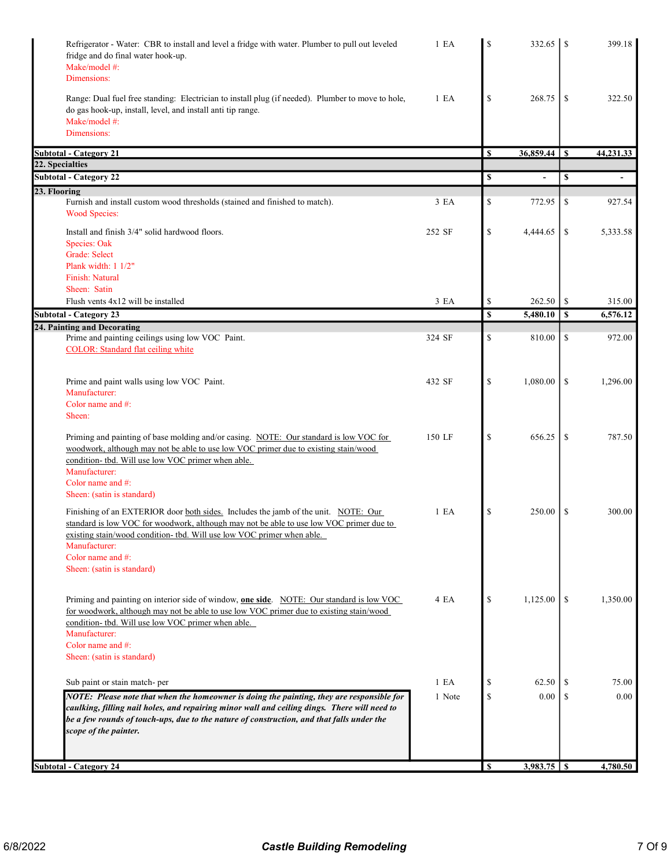| Refrigerator - Water: CBR to install and level a fridge with water. Plumber to pull out leveled<br>fridge and do final water hook-up.<br>Make/model #:<br>Dimensions:                                                                                                                                                 | 1 E A  | \$ | 332.65   | <sup>\$</sup> | 399.18                   |
|-----------------------------------------------------------------------------------------------------------------------------------------------------------------------------------------------------------------------------------------------------------------------------------------------------------------------|--------|----|----------|---------------|--------------------------|
| Range: Dual fuel free standing: Electrician to install plug (if needed). Plumber to move to hole,<br>do gas hook-up, install, level, and install anti tip range.<br>Make/model #:<br>Dimensions:                                                                                                                      | 1 E A  | \$ | 268.75   | \$            | 322.50                   |
| <b>Subtotal - Category 21</b>                                                                                                                                                                                                                                                                                         |        | S  |          |               | 44,231.33                |
| 22. Specialties                                                                                                                                                                                                                                                                                                       |        |    |          |               |                          |
| <b>Subtotal - Category 22</b>                                                                                                                                                                                                                                                                                         |        | \$ | L,       | \$            | $\overline{\phantom{a}}$ |
| 23. Flooring<br>Furnish and install custom wood thresholds (stained and finished to match).<br><b>Wood Species:</b>                                                                                                                                                                                                   | 3 EA   | \$ | 772.95   | \$            | 927.54                   |
| Install and finish 3/4" solid hardwood floors.                                                                                                                                                                                                                                                                        | 252 SF | \$ | 4,444.65 | \$            | 5,333.58                 |
| Species: Oak                                                                                                                                                                                                                                                                                                          |        |    |          |               |                          |
| Grade: Select                                                                                                                                                                                                                                                                                                         |        |    |          |               |                          |
| Plank width: 1 1/2"                                                                                                                                                                                                                                                                                                   |        |    |          |               |                          |
| <b>Finish: Natural</b><br>Sheen: Satin                                                                                                                                                                                                                                                                                |        |    |          |               |                          |
| Flush vents 4x12 will be installed                                                                                                                                                                                                                                                                                    | 3 EA   | \$ | 262.50   | \$            | 315.00                   |
| <b>Subtotal - Category 23</b>                                                                                                                                                                                                                                                                                         |        | \$ | 5,480.10 | \$            | 6,576.12                 |
| 24. Painting and Decorating                                                                                                                                                                                                                                                                                           |        |    |          |               |                          |
| Prime and painting ceilings using low VOC Paint.                                                                                                                                                                                                                                                                      | 324 SF | \$ | 810.00   | \$            | 972.00                   |
| <b>COLOR:</b> Standard flat ceiling white                                                                                                                                                                                                                                                                             |        |    |          |               |                          |
| Prime and paint walls using low VOC Paint.                                                                                                                                                                                                                                                                            | 432 SF | \$ | 1,080.00 | \$            | 1,296.00                 |
| Manufacturer:                                                                                                                                                                                                                                                                                                         |        |    |          |               |                          |
| Color name and #:                                                                                                                                                                                                                                                                                                     |        |    |          |               |                          |
| Sheen:                                                                                                                                                                                                                                                                                                                |        |    |          |               |                          |
| Priming and painting of base molding and/or casing. NOTE: Our standard is low VOC for<br>woodwork, although may not be able to use low VOC primer due to existing stain/wood<br>condition- tbd. Will use low VOC primer when able.<br>Manufacturer:<br>Color name and #:<br>Sheen: (satin is standard)                | 150 LF | \$ | 656.25   | \$            | 787.50                   |
| Finishing of an EXTERIOR door both sides. Includes the jamb of the unit. NOTE: Our<br>standard is low VOC for woodwork, although may not be able to use low VOC primer due to                                                                                                                                         | 1 E A  | \$ | 250.00   | \$            | 300.00                   |
| existing stain/wood condition- tbd. Will use low VOC primer when able.<br>Manufacturer:<br>Color name and #:<br>Sheen: (satin is standard)                                                                                                                                                                            |        |    |          |               |                          |
| Priming and painting on interior side of window, <b>one side</b> . NOTE: Our standard is low VOC<br>for woodwork, although may not be able to use low VOC primer due to existing stain/wood<br>condition- tbd. Will use low VOC primer when able.<br>Manufacturer:<br>Color name and #:<br>Sheen: (satin is standard) | 4 EA   | \$ | 1,125.00 | \$            | 1,350.00                 |
|                                                                                                                                                                                                                                                                                                                       |        |    |          |               |                          |
| Sub paint or stain match-per                                                                                                                                                                                                                                                                                          | 1 E A  | S  | 62.50    |               | 75.00                    |
| NOTE: Please note that when the homeowner is doing the painting, they are responsible for<br>caulking, filling nail holes, and repairing minor wall and ceiling dings. There will need to<br>be a few rounds of touch-ups, due to the nature of construction, and that falls under the<br>scope of the painter.       | 1 Note | \$ | 0.00     | S             | 0.00                     |
|                                                                                                                                                                                                                                                                                                                       |        |    |          |               |                          |
| <b>Subtotal - Category 24</b>                                                                                                                                                                                                                                                                                         |        | S  |          |               | 4,780.50                 |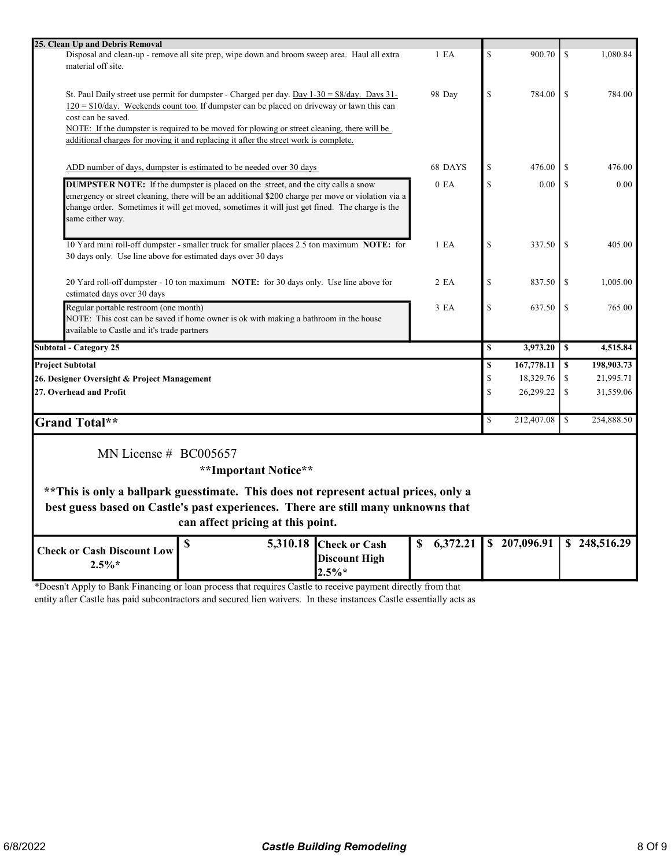| 25. Clean Up and Debris Removal                                                                                    |                  |               |              |               |              |
|--------------------------------------------------------------------------------------------------------------------|------------------|---------------|--------------|---------------|--------------|
| Disposal and clean-up - remove all site prep, wipe down and broom sweep area. Haul all extra                       | $1$ EA           | $\mathbf S$   | 900.70       | <sup>\$</sup> | 1,080.84     |
| material off site.                                                                                                 |                  |               |              |               |              |
|                                                                                                                    |                  |               |              |               |              |
| St. Paul Daily street use permit for dumpster - Charged per day. Day $1-30 = $8/day$ . Days $31-$                  | 98 Day           | $\mathbf S$   | 784.00       | <sup>\$</sup> | 784.00       |
| $120 = $10/day$ . Weekends count too. If dumpster can be placed on driveway or lawn this can                       |                  |               |              |               |              |
| cost can be saved.                                                                                                 |                  |               |              |               |              |
| NOTE: If the dumpster is required to be moved for plowing or street cleaning, there will be                        |                  |               |              |               |              |
| additional charges for moving it and replacing it after the street work is complete.                               |                  |               |              |               |              |
|                                                                                                                    |                  |               |              |               |              |
| ADD number of days, dumpster is estimated to be needed over 30 days                                                | 68 DAYS          | $\mathbf S$   | 476.00       | <sup>\$</sup> | 476.00       |
|                                                                                                                    |                  |               |              |               |              |
| <b>DUMPSTER NOTE:</b> If the dumpster is placed on the street, and the city calls a snow                           | 0 E <sub>A</sub> | $\mathbf S$   | 0.00         | <sup>\$</sup> | 0.00         |
| emergency or street cleaning, there will be an additional \$200 charge per move or violation via a                 |                  |               |              |               |              |
| change order. Sometimes it will get moved, sometimes it will just get fined. The charge is the<br>same either way. |                  |               |              |               |              |
|                                                                                                                    |                  |               |              |               |              |
| 10 Yard mini roll-off dumpster - smaller truck for smaller places 2.5 ton maximum NOTE: for                        | 1 E A            | $\mathbf S$   |              | <sup>\$</sup> | 405.00       |
| 30 days only. Use line above for estimated days over 30 days                                                       |                  |               | 337.50       |               |              |
|                                                                                                                    |                  |               |              |               |              |
| 20 Yard roll-off dumpster - 10 ton maximum NOTE: for 30 days only. Use line above for                              | 2EA              | $\mathbb{S}$  | 837.50       | <sup>\$</sup> | 1,005.00     |
| estimated days over 30 days                                                                                        |                  |               |              |               |              |
| Regular portable restroom (one month)                                                                              | 3 EA             | $\mathbf S$   | 637.50       | <sup>\$</sup> | 765.00       |
| NOTE: This cost can be saved if home owner is ok with making a bathroom in the house                               |                  |               |              |               |              |
| available to Castle and it's trade partners                                                                        |                  |               |              |               |              |
| <b>Subtotal - Category 25</b>                                                                                      |                  | $\mathbf S$   | 3,973.20     | $\mathbf{s}$  | 4,515.84     |
|                                                                                                                    |                  |               |              |               |              |
| <b>Project Subtotal</b>                                                                                            |                  | \$            | 167,778.11   | S             | 198,903.73   |
| 26. Designer Oversight & Project Management                                                                        |                  | $\mathcal{S}$ | 18,329.76    | \$            | 21,995.71    |
| 27. Overhead and Profit                                                                                            |                  | $\mathbf S$   | 26,299.22    | \$            | 31,559.06    |
|                                                                                                                    |                  |               |              |               |              |
| <b>Grand Total**</b>                                                                                               |                  | \$            | 212,407.08   | l \$          | 254,888.50   |
|                                                                                                                    |                  |               |              |               |              |
| MN License $# BCO05657$                                                                                            |                  |               |              |               |              |
|                                                                                                                    |                  |               |              |               |              |
| **Important Notice**                                                                                               |                  |               |              |               |              |
| ** This is only a ballpark guesstimate. This does not represent actual prices, only a                              |                  |               |              |               |              |
|                                                                                                                    |                  |               |              |               |              |
| best guess based on Castle's past experiences. There are still many unknowns that                                  |                  |               |              |               |              |
| can affect pricing at this point.                                                                                  |                  |               |              |               |              |
| $\mathbb{S}$<br>5,310.18 Check or Cash                                                                             | 6,372.21<br>\$   |               | \$207,096.91 |               | \$248,516.29 |
| <b>Check or Cash Discount Low</b><br><b>Discount High</b>                                                          |                  |               |              |               |              |
| $2.5\%*$                                                                                                           |                  |               |              |               |              |
| $2.5\%*$                                                                                                           |                  |               |              |               |              |

\*Doesn't Apply to Bank Financing or loan process that requires Castle to receive payment directly from that

entity after Castle has paid subcontractors and secured lien waivers. In these instances Castle essentially acts as